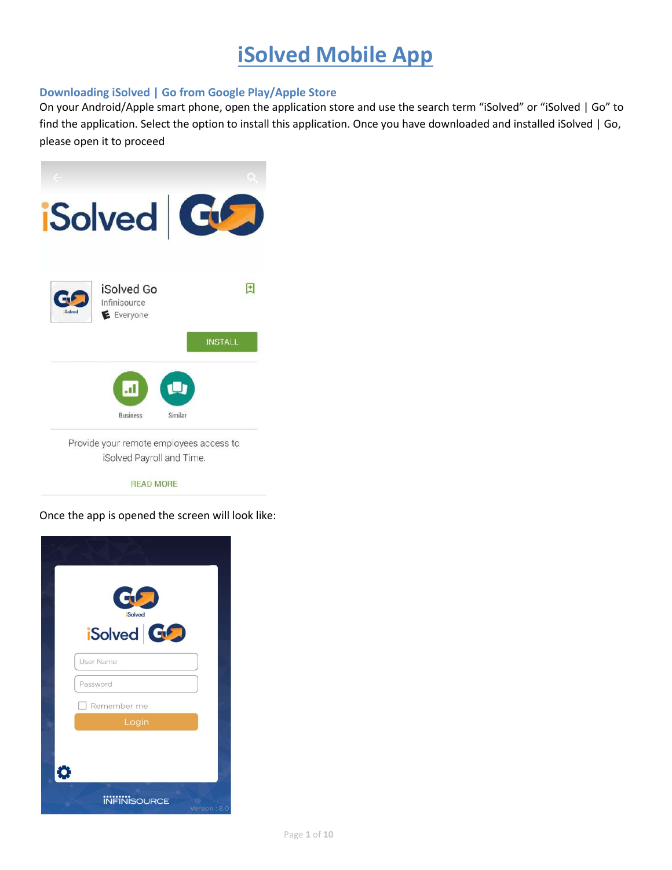# **iSolved Mobile App**

### **Downloading iSolved | Go from Google Play/Apple Store**

On your Android/Apple smart phone, open the application store and use the search term "iSolved" or "iSolved | Go" to find the application. Select the option to install this application. Once you have downloaded and installed iSolved | Go, please open it to proceed



**READ MORE** 

Once the app is opened the screen will look like:

| CL 3<br><b>Solved</b> |              |
|-----------------------|--------------|
| iSolved GO            |              |
| <b>User Name</b>      |              |
| Password              |              |
| Remember me<br>Login  |              |
|                       |              |
| ≎                     |              |
| <b>INFINISOURCE</b>   | Version: 8.0 |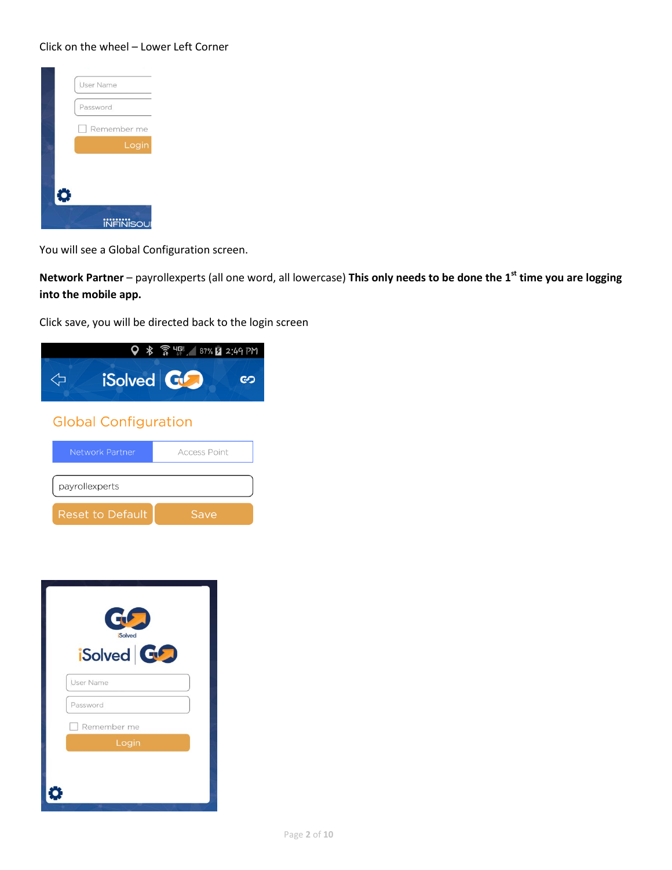#### Click on the wheel – Lower Left Corner



You will see a Global Configuration screen.

**Network Partner** – payrollexperts (all one word, all lowercase) **This only needs to be done the 1st time you are logging into the mobile app.**

Click save, you will be directed back to the login screen



| G<br><b>Solved</b><br>iSolved GD |  |
|----------------------------------|--|
| <b>User Name</b>                 |  |
| Password                         |  |
| Remember me                      |  |
| Login                            |  |
|                                  |  |
|                                  |  |

**Reset to Default**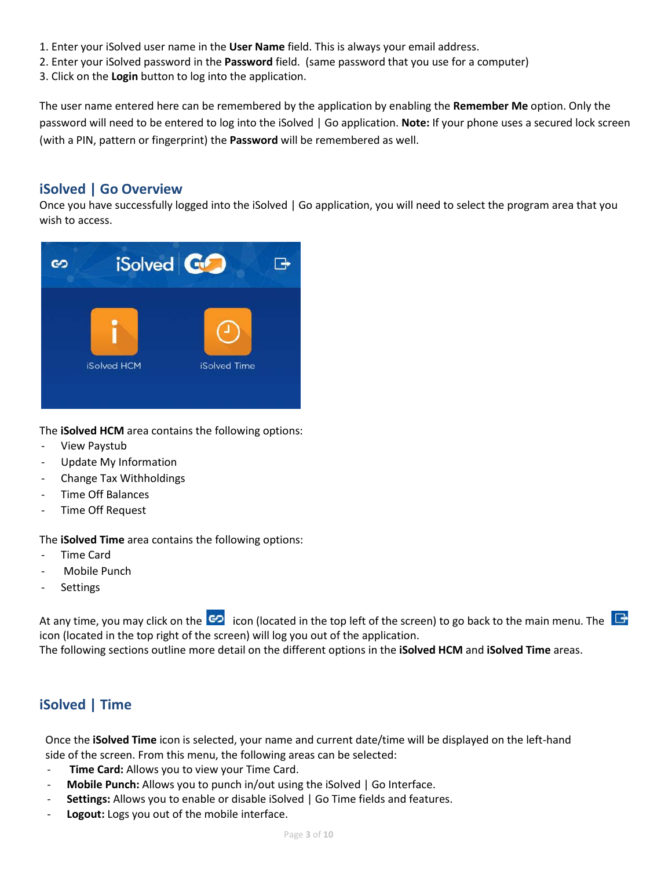- 1. Enter your iSolved user name in the **User Name** field. This is always your email address.
- 2. Enter your iSolved password in the **Password** field. (same password that you use for a computer)
- 3. Click on the **Login** button to log into the application.

The user name entered here can be remembered by the application by enabling the **Remember Me** option. Only the password will need to be entered to log into the iSolved | Go application. **Note:** If your phone uses a secured lock screen (with a PIN, pattern or fingerprint) the **Password** will be remembered as well.

## **iSolved | Go Overview**

Once you have successfully logged into the iSolved | Go application, you will need to select the program area that you wish to access.



The **iSolved HCM** area contains the following options:

- View Paystub
- Update My Information
- Change Tax Withholdings
- Time Off Balances
- Time Off Request

The **iSolved Time** area contains the following options:

- Time Card
- Mobile Punch
- **Settings**

At any time, you may click on the  $\overline{G}$  icon (located in the top left of the screen) to go back to the main menu. The icon (located in the top right of the screen) will log you out of the application. The following sections outline more detail on the different options in the **iSolved HCM** and **iSolved Time** areas.

## **iSolved | Time**

Once the **iSolved Time** icon is selected, your name and current date/time will be displayed on the left-hand side of the screen. From this menu, the following areas can be selected:

- **Time Card:** Allows you to view your Time Card.
- **Mobile Punch:** Allows you to punch in/out using the iSolved | Go Interface.
- **Settings:** Allows you to enable or disable iSolved | Go Time fields and features.
- **Logout:** Logs you out of the mobile interface.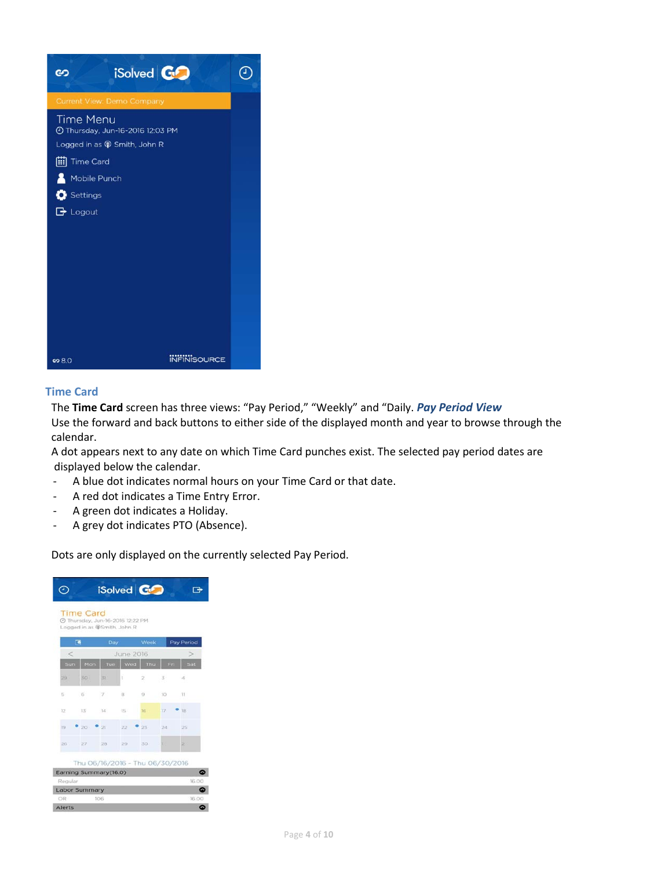

#### **Time Card**

The **Time Card** screen has three views: "Pay Period," "Weekly" and "Daily. *Pay Period View*  Use the forward and back buttons to either side of the displayed month and year to browse through the calendar.

A dot appears next to any date on which Time Card punches exist. The selected pay period dates are displayed below the calendar.

- A blue dot indicates normal hours on your Time Card or that date.
- A red dot indicates a Time Entry Error.
- A green dot indicates a Holiday.
- A grey dot indicates PTO (Absence).

Dots are only displayed on the currently selected Pay Period.

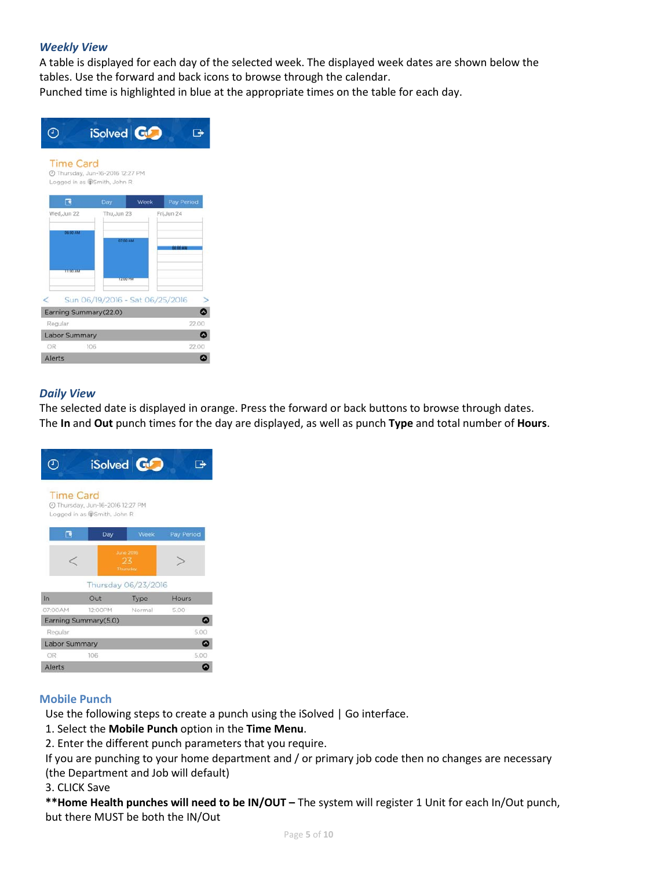#### *Weekly View*

A table is displayed for each day of the selected week. The displayed week dates are shown below the tables. Use the forward and back icons to browse through the calendar. Punched time is highlighted in blue at the appropriate times on the table for each day.



#### *Daily View*

The selected date is displayed in orange. Press the forward or back buttons to browse through dates. The **In** and **Out** punch times for the day are displayed, as well as punch **Type** and total number of **Hours**.



#### **Mobile Punch**

Use the following steps to create a punch using the iSolved | Go interface.

1. Select the **Mobile Punch** option in the **Time Menu**.

2. Enter the different punch parameters that you require.

If you are punching to your home department and / or primary job code then no changes are necessary (the Department and Job will default)

3. CLICK Save

**\*\*Home Health punches will need to be IN/OUT –** The system will register 1 Unit for each In/Out punch, but there MUST be both the IN/Out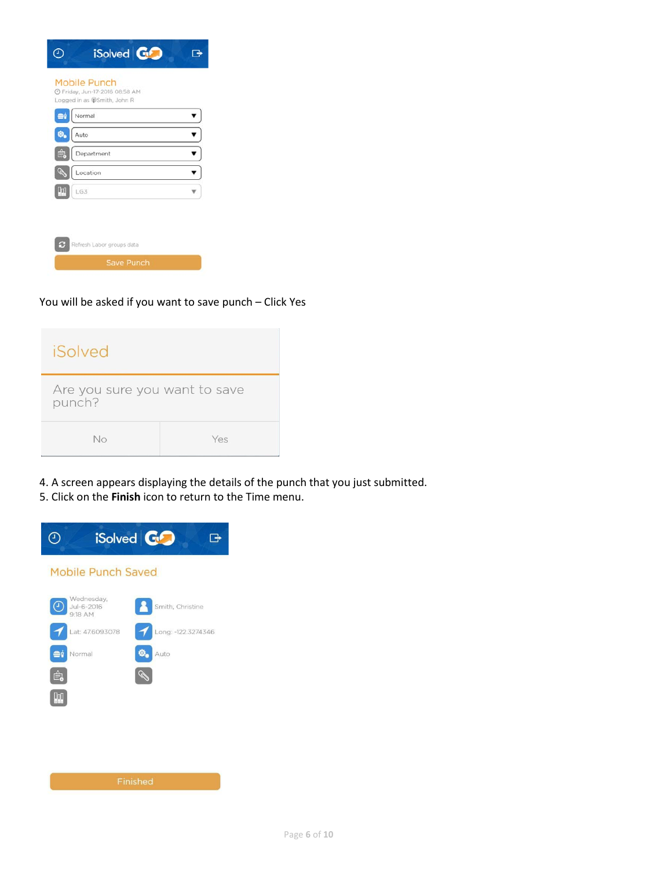| $e^{\frac{1}{2}}$ | Normal     |  |
|-------------------|------------|--|
| ۰.                | Auto       |  |
| ê.                | Department |  |
| Í                 | Location   |  |
|                   | LG3        |  |

You will be asked if you want to save punch – Click Yes

| iSolved                                 |     |
|-----------------------------------------|-----|
| Are you sure you want to save<br>punch? |     |
| No                                      | Yes |

4. A screen appears displaying the details of the punch that you just submitted. 5. Click on the **Finish** icon to return to the Time menu.



Page **6** of **10**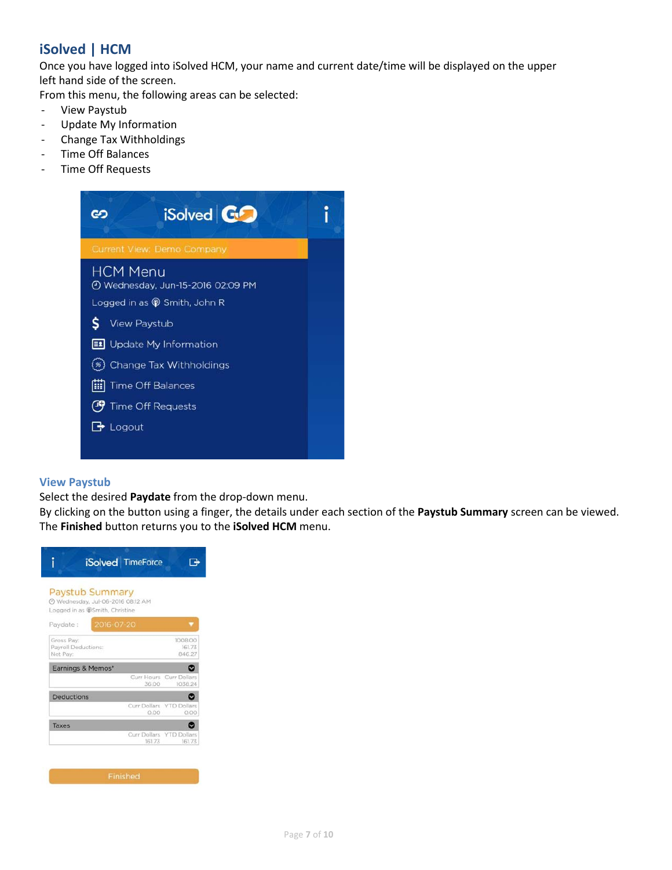# **iSolved | HCM**

Once you have logged into iSolved HCM, your name and current date/time will be displayed on the upper left hand side of the screen.

From this menu, the following areas can be selected:

- View Paystub
- Update My Information
- Change Tax Withholdings
- Time Off Balances
- Time Off Requests



#### **View Paystub**

Select the desired **Paydate** from the drop-down menu.

By clicking on the button using a finger, the details under each section of the **Paystub Summary** screen can be viewed. The **Finished** button returns you to the **iSolved HCM** menu.

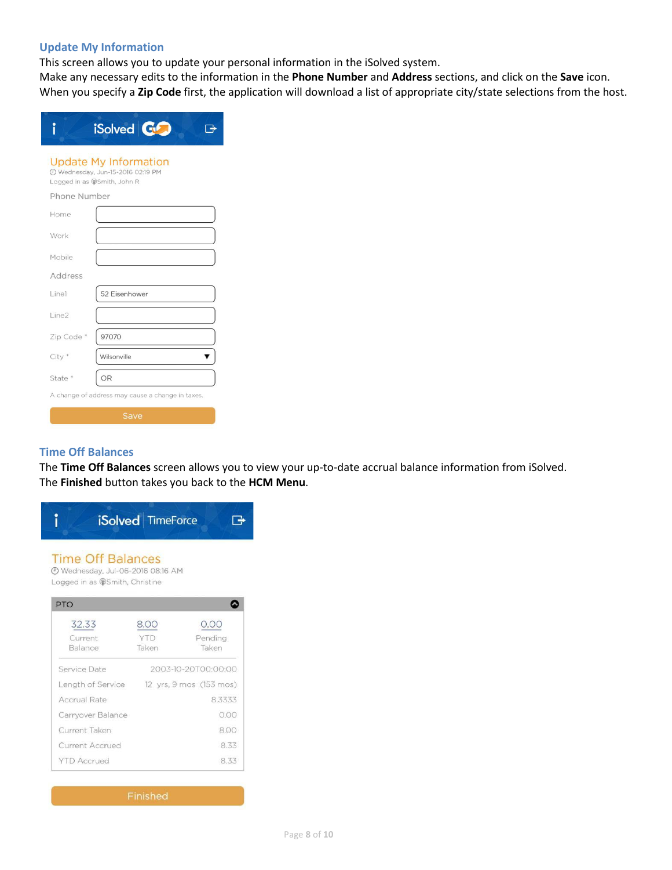#### **Update My Information**

This screen allows you to update your personal information in the iSolved system.

Make any necessary edits to the information in the **Phone Number** and **Address** sections, and click on the **Save** icon. When you specify a **Zip Code** first, the application will download a list of appropriate city/state selections from the host.

|                                                                                                  | iSolved <b>GO</b> |  |  |  |
|--------------------------------------------------------------------------------------------------|-------------------|--|--|--|
| <b>Update My Information</b><br>2 Wednesday, Jun-15-2016 02:19 PM<br>Logged in as @Smith, John R |                   |  |  |  |
| Phone Number                                                                                     |                   |  |  |  |
| Home                                                                                             |                   |  |  |  |
| Work                                                                                             |                   |  |  |  |
| Mobile                                                                                           |                   |  |  |  |
| Address                                                                                          |                   |  |  |  |
| Line1                                                                                            | 52 Eisenhower     |  |  |  |
| Line2                                                                                            |                   |  |  |  |
| Zip Code <sup>*</sup>                                                                            | 97070             |  |  |  |
| City <sup>*</sup>                                                                                | Wilsonville       |  |  |  |
| State <sup>*</sup>                                                                               | OR                |  |  |  |
| A change of address may cause a change in taxes.                                                 |                   |  |  |  |
| Save                                                                                             |                   |  |  |  |

## **Time Off Balances**

The **Time Off Balances** screen allows you to view your up-to-date accrual balance information from iSolved. The **Finished** button takes you back to the **HCM Menu**.

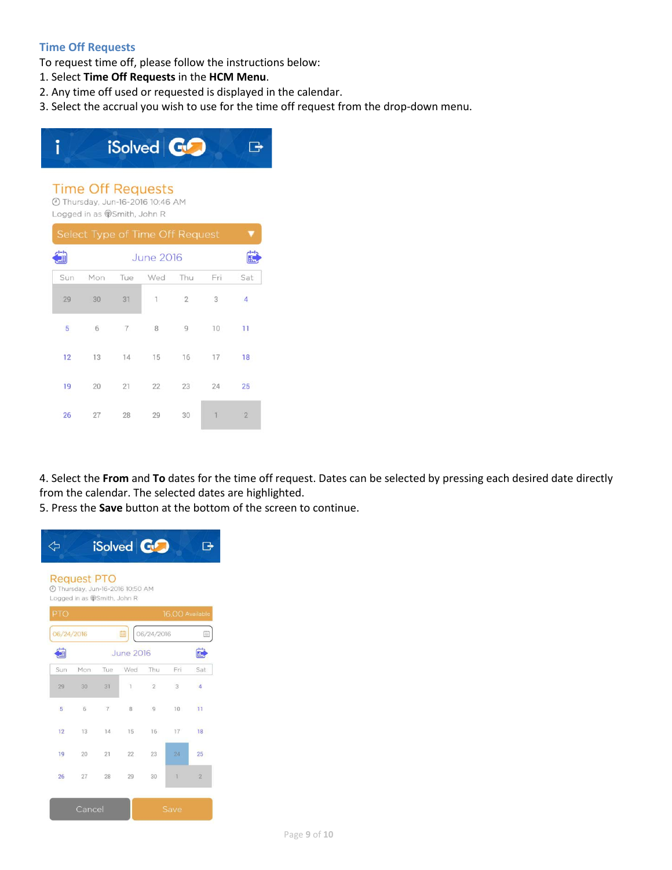#### **Time Off Requests**

To request time off, please follow the instructions below:

- 1. Select **Time Off Requests** in the **HCM Menu**.
- 2. Any time off used or requested is displayed in the calendar.
- 3. Select the accrual you wish to use for the time off request from the drop-down menu.



4. Select the **From** and **To** dates for the time off request. Dates can be selected by pressing each desired date directly from the calendar. The selected dates are highlighted.

5. Press the **Save** button at the bottom of the screen to continue.